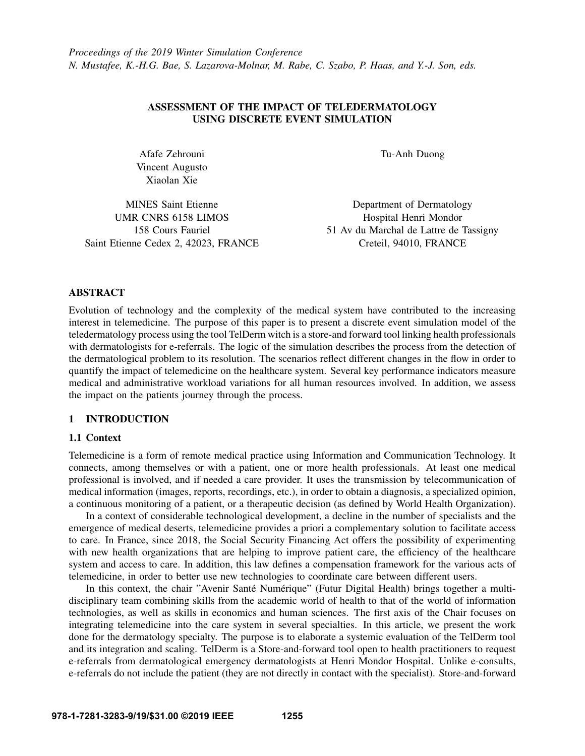## ASSESSMENT OF THE IMPACT OF TELEDERMATOLOGY USING DISCRETE EVENT SIMULATION

Afafe Zehrouni Vincent Augusto Xiaolan Xie

Tu-Anh Duong

MINES Saint Etienne UMR CNRS 6158 LIMOS 158 Cours Fauriel Saint Etienne Cedex 2, 42023, FRANCE

Department of Dermatology Hospital Henri Mondor 51 Av du Marchal de Lattre de Tassigny Creteil, 94010, FRANCE

## ABSTRACT

Evolution of technology and the complexity of the medical system have contributed to the increasing interest in telemedicine. The purpose of this paper is to present a discrete event simulation model of the teledermatology process using the tool TelDerm witch is a store-and forward tool linking health professionals with dermatologists for e-referrals. The logic of the simulation describes the process from the detection of the dermatological problem to its resolution. The scenarios reflect different changes in the flow in order to quantify the impact of telemedicine on the healthcare system. Several key performance indicators measure medical and administrative workload variations for all human resources involved. In addition, we assess the impact on the patients journey through the process.

#### 1 INTRODUCTION

#### 1.1 Context

Telemedicine is a form of remote medical practice using Information and Communication Technology. It connects, among themselves or with a patient, one or more health professionals. At least one medical professional is involved, and if needed a care provider. It uses the transmission by telecommunication of medical information (images, reports, recordings, etc.), in order to obtain a diagnosis, a specialized opinion, a continuous monitoring of a patient, or a therapeutic decision (as defined by World Health Organization).

In a context of considerable technological development, a decline in the number of specialists and the emergence of medical deserts, telemedicine provides a priori a complementary solution to facilitate access to care. In France, since 2018, the Social Security Financing Act offers the possibility of experimenting with new health organizations that are helping to improve patient care, the efficiency of the healthcare system and access to care. In addition, this law defines a compensation framework for the various acts of telemedicine, in order to better use new technologies to coordinate care between different users.

In this context, the chair "Avenir Santé Numérique" (Futur Digital Health) brings together a multidisciplinary team combining skills from the academic world of health to that of the world of information technologies, as well as skills in economics and human sciences. The first axis of the Chair focuses on integrating telemedicine into the care system in several specialties. In this article, we present the work done for the dermatology specialty. The purpose is to elaborate a systemic evaluation of the TelDerm tool and its integration and scaling. TelDerm is a Store-and-forward tool open to health practitioners to request e-referrals from dermatological emergency dermatologists at Henri Mondor Hospital. Unlike e-consults, e-referrals do not include the patient (they are not directly in contact with the specialist). Store-and-forward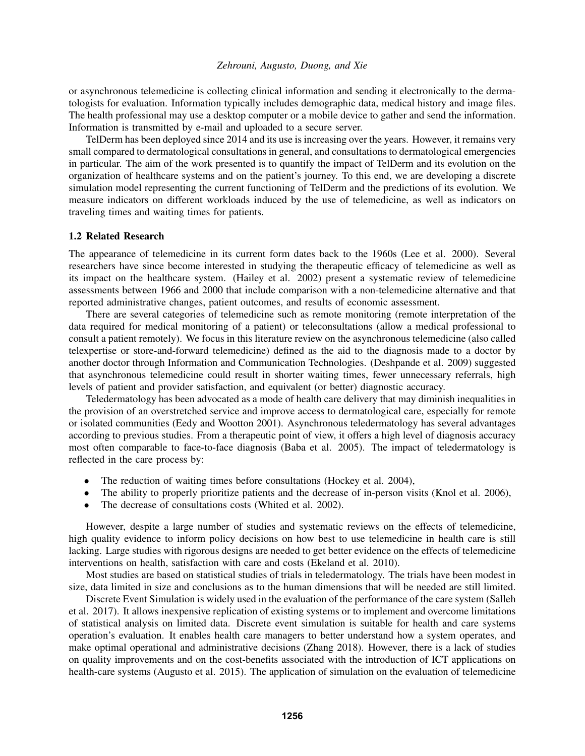or asynchronous telemedicine is collecting clinical information and sending it electronically to the dermatologists for evaluation. Information typically includes demographic data, medical history and image files. The health professional may use a desktop computer or a mobile device to gather and send the information. Information is transmitted by e-mail and uploaded to a secure server.

TelDerm has been deployed since 2014 and its use is increasing over the years. However, it remains very small compared to dermatological consultations in general, and consultations to dermatological emergencies in particular. The aim of the work presented is to quantify the impact of TelDerm and its evolution on the organization of healthcare systems and on the patient's journey. To this end, we are developing a discrete simulation model representing the current functioning of TelDerm and the predictions of its evolution. We measure indicators on different workloads induced by the use of telemedicine, as well as indicators on traveling times and waiting times for patients.

## 1.2 Related Research

The appearance of telemedicine in its current form dates back to the 1960s [\(Lee et al. 2000\)](#page-10-0). Several researchers have since become interested in studying the therapeutic efficacy of telemedicine as well as its impact on the healthcare system. [\(Hailey et al. 2002\)](#page-10-1) present a systematic review of telemedicine assessments between 1966 and 2000 that include comparison with a non-telemedicine alternative and that reported administrative changes, patient outcomes, and results of economic assessment.

There are several categories of telemedicine such as remote monitoring (remote interpretation of the data required for medical monitoring of a patient) or teleconsultations (allow a medical professional to consult a patient remotely). We focus in this literature review on the asynchronous telemedicine (also called telexpertise or store-and-forward telemedicine) defined as the aid to the diagnosis made to a doctor by another doctor through Information and Communication Technologies. [\(Deshpande et al. 2009\)](#page-10-2) suggested that asynchronous telemedicine could result in shorter waiting times, fewer unnecessary referrals, high levels of patient and provider satisfaction, and equivalent (or better) diagnostic accuracy.

Teledermatology has been advocated as a mode of health care delivery that may diminish inequalities in the provision of an overstretched service and improve access to dermatological care, especially for remote or isolated communities [\(Eedy and Wootton 2001\)](#page-10-3). Asynchronous teledermatology has several advantages according to previous studies. From a therapeutic point of view, it offers a high level of diagnosis accuracy most often comparable to face-to-face diagnosis [\(Baba et al. 2005\)](#page-10-4). The impact of teledermatology is reflected in the care process by:

- The reduction of waiting times before consultations [\(Hockey et al. 2004\)](#page-10-5),
- The ability to properly prioritize patients and the decrease of in-person visits [\(Knol et al. 2006\)](#page-10-6),
- The decrease of consultations costs [\(Whited et al. 2002\)](#page-10-7).

However, despite a large number of studies and systematic reviews on the effects of telemedicine, high quality evidence to inform policy decisions on how best to use telemedicine in health care is still lacking. Large studies with rigorous designs are needed to get better evidence on the effects of telemedicine interventions on health, satisfaction with care and costs [\(Ekeland et al. 2010\)](#page-10-8).

Most studies are based on statistical studies of trials in teledermatology. The trials have been modest in size, data limited in size and conclusions as to the human dimensions that will be needed are still limited.

Discrete Event Simulation is widely used in the evaluation of the performance of the care system [\(Salleh](#page-10-9) [et al. 2017\)](#page-10-9). It allows inexpensive replication of existing systems or to implement and overcome limitations of statistical analysis on limited data. Discrete event simulation is suitable for health and care systems operation's evaluation. It enables health care managers to better understand how a system operates, and make optimal operational and administrative decisions [\(Zhang 2018\)](#page-10-10). However, there is a lack of studies on quality improvements and on the cost-benefits associated with the introduction of ICT applications on health-care systems [\(Augusto et al. 2015\)](#page-10-11). The application of simulation on the evaluation of telemedicine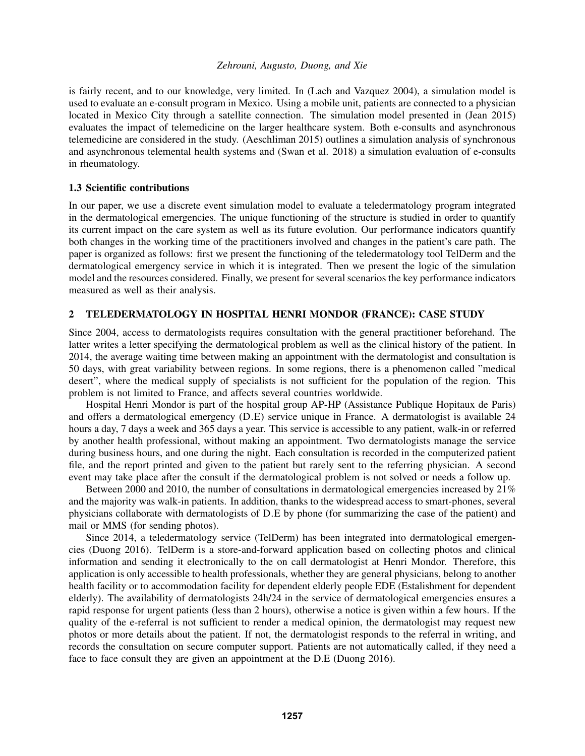is fairly recent, and to our knowledge, very limited. In [\(Lach and Vazquez 2004\)](#page-10-12), a simulation model is used to evaluate an e-consult program in Mexico. Using a mobile unit, patients are connected to a physician located in Mexico City through a satellite connection. The simulation model presented in [\(Jean 2015\)](#page-10-13) evaluates the impact of telemedicine on the larger healthcare system. Both e-consults and asynchronous telemedicine are considered in the study. [\(Aeschliman 2015\)](#page-10-14) outlines a simulation analysis of synchronous and asynchronous telemental health systems and [\(Swan et al. 2018\)](#page-10-15) a simulation evaluation of e-consults in rheumatology.

#### 1.3 Scientific contributions

In our paper, we use a discrete event simulation model to evaluate a teledermatology program integrated in the dermatological emergencies. The unique functioning of the structure is studied in order to quantify its current impact on the care system as well as its future evolution. Our performance indicators quantify both changes in the working time of the practitioners involved and changes in the patient's care path. The paper is organized as follows: first we present the functioning of the teledermatology tool TelDerm and the dermatological emergency service in which it is integrated. Then we present the logic of the simulation model and the resources considered. Finally, we present for several scenarios the key performance indicators measured as well as their analysis.

## 2 TELEDERMATOLOGY IN HOSPITAL HENRI MONDOR (FRANCE): CASE STUDY

Since 2004, access to dermatologists requires consultation with the general practitioner beforehand. The latter writes a letter specifying the dermatological problem as well as the clinical history of the patient. In 2014, the average waiting time between making an appointment with the dermatologist and consultation is 50 days, with great variability between regions. In some regions, there is a phenomenon called "medical desert", where the medical supply of specialists is not sufficient for the population of the region. This problem is not limited to France, and affects several countries worldwide.

Hospital Henri Mondor is part of the hospital group AP-HP (Assistance Publique Hopitaux de Paris) and offers a dermatological emergency (D.E) service unique in France. A dermatologist is available 24 hours a day, 7 days a week and 365 days a year. This service is accessible to any patient, walk-in or referred by another health professional, without making an appointment. Two dermatologists manage the service during business hours, and one during the night. Each consultation is recorded in the computerized patient file, and the report printed and given to the patient but rarely sent to the referring physician. A second event may take place after the consult if the dermatological problem is not solved or needs a follow up.

Between 2000 and 2010, the number of consultations in dermatological emergencies increased by 21% and the majority was walk-in patients. In addition, thanks to the widespread access to smart-phones, several physicians collaborate with dermatologists of D.E by phone (for summarizing the case of the patient) and mail or MMS (for sending photos).

Since 2014, a teledermatology service (TelDerm) has been integrated into dermatological emergencies [\(Duong 2016\)](#page-10-16). TelDerm is a store-and-forward application based on collecting photos and clinical information and sending it electronically to the on call dermatologist at Henri Mondor. Therefore, this application is only accessible to health professionals, whether they are general physicians, belong to another health facility or to accommodation facility for dependent elderly people EDE (Estalishment for dependent elderly). The availability of dermatologists 24h/24 in the service of dermatological emergencies ensures a rapid response for urgent patients (less than 2 hours), otherwise a notice is given within a few hours. If the quality of the e-referral is not sufficient to render a medical opinion, the dermatologist may request new photos or more details about the patient. If not, the dermatologist responds to the referral in writing, and records the consultation on secure computer support. Patients are not automatically called, if they need a face to face consult they are given an appointment at the D.E [\(Duong 2016\)](#page-10-16).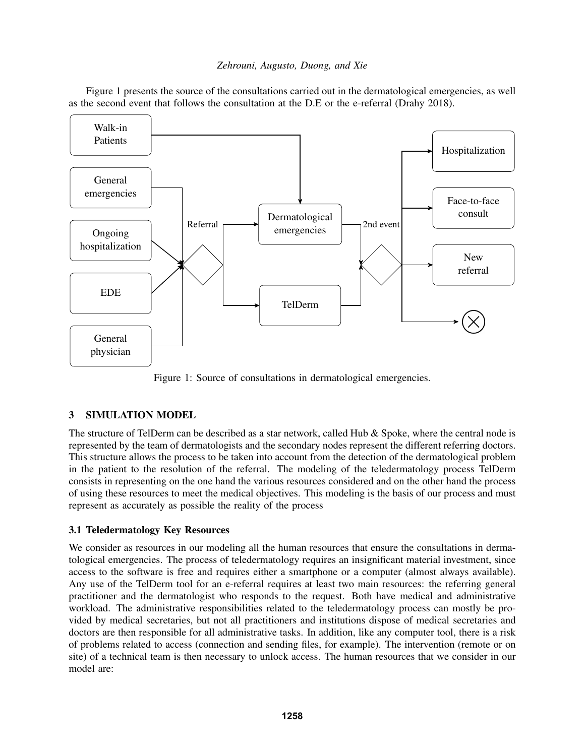Figure [1](#page-3-0) presents the source of the consultations carried out in the dermatological emergencies, as well as the second event that follows the consultation at the D.E or the e-referral [\(Drahy 2018\)](#page-10-17).

<span id="page-3-0"></span>

Figure 1: Source of consultations in dermatological emergencies.

# 3 SIMULATION MODEL

The structure of TelDerm can be described as a star network, called Hub  $\&$  Spoke, where the central node is represented by the team of dermatologists and the secondary nodes represent the different referring doctors. This structure allows the process to be taken into account from the detection of the dermatological problem in the patient to the resolution of the referral. The modeling of the teledermatology process TelDerm consists in representing on the one hand the various resources considered and on the other hand the process of using these resources to meet the medical objectives. This modeling is the basis of our process and must represent as accurately as possible the reality of the process

## 3.1 Teledermatology Key Resources

We consider as resources in our modeling all the human resources that ensure the consultations in dermatological emergencies. The process of teledermatology requires an insignificant material investment, since access to the software is free and requires either a smartphone or a computer (almost always available). Any use of the TelDerm tool for an e-referral requires at least two main resources: the referring general practitioner and the dermatologist who responds to the request. Both have medical and administrative workload. The administrative responsibilities related to the teledermatology process can mostly be provided by medical secretaries, but not all practitioners and institutions dispose of medical secretaries and doctors are then responsible for all administrative tasks. In addition, like any computer tool, there is a risk of problems related to access (connection and sending files, for example). The intervention (remote or on site) of a technical team is then necessary to unlock access. The human resources that we consider in our model are: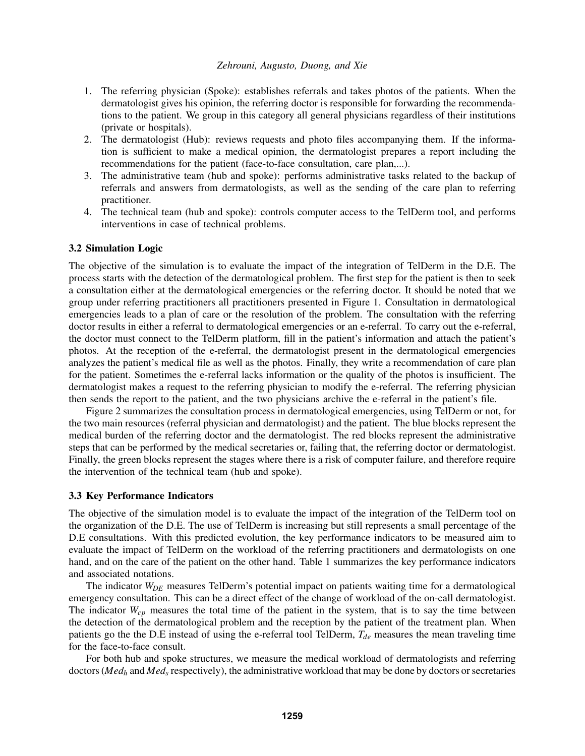- 1. The referring physician (Spoke): establishes referrals and takes photos of the patients. When the dermatologist gives his opinion, the referring doctor is responsible for forwarding the recommendations to the patient. We group in this category all general physicians regardless of their institutions (private or hospitals).
- 2. The dermatologist (Hub): reviews requests and photo files accompanying them. If the information is sufficient to make a medical opinion, the dermatologist prepares a report including the recommendations for the patient (face-to-face consultation, care plan,...).
- 3. The administrative team (hub and spoke): performs administrative tasks related to the backup of referrals and answers from dermatologists, as well as the sending of the care plan to referring practitioner.
- 4. The technical team (hub and spoke): controls computer access to the TelDerm tool, and performs interventions in case of technical problems.

#### <span id="page-4-0"></span>3.2 Simulation Logic

The objective of the simulation is to evaluate the impact of the integration of TelDerm in the D.E. The process starts with the detection of the dermatological problem. The first step for the patient is then to seek a consultation either at the dermatological emergencies or the referring doctor. It should be noted that we group under referring practitioners all practitioners presented in Figure [1.](#page-3-0) Consultation in dermatological emergencies leads to a plan of care or the resolution of the problem. The consultation with the referring doctor results in either a referral to dermatological emergencies or an e-referral. To carry out the e-referral, the doctor must connect to the TelDerm platform, fill in the patient's information and attach the patient's photos. At the reception of the e-referral, the dermatologist present in the dermatological emergencies analyzes the patient's medical file as well as the photos. Finally, they write a recommendation of care plan for the patient. Sometimes the e-referral lacks information or the quality of the photos is insufficient. The dermatologist makes a request to the referring physician to modify the e-referral. The referring physician then sends the report to the patient, and the two physicians archive the e-referral in the patient's file.

Figure [2](#page-5-0) summarizes the consultation process in dermatological emergencies, using TelDerm or not, for the two main resources (referral physician and dermatologist) and the patient. The blue blocks represent the medical burden of the referring doctor and the dermatologist. The red blocks represent the administrative steps that can be performed by the medical secretaries or, failing that, the referring doctor or dermatologist. Finally, the green blocks represent the stages where there is a risk of computer failure, and therefore require the intervention of the technical team (hub and spoke).

#### 3.3 Key Performance Indicators

The objective of the simulation model is to evaluate the impact of the integration of the TelDerm tool on the organization of the D.E. The use of TelDerm is increasing but still represents a small percentage of the D.E consultations. With this predicted evolution, the key performance indicators to be measured aim to evaluate the impact of TelDerm on the workload of the referring practitioners and dermatologists on one hand, and on the care of the patient on the other hand. Table [1](#page-6-0) summarizes the key performance indicators and associated notations.

The indicator  $W_{DE}$  measures TelDerm's potential impact on patients waiting time for a dermatological emergency consultation. This can be a direct effect of the change of workload of the on-call dermatologist. The indicator  $W_{cp}$  measures the total time of the patient in the system, that is to say the time between the detection of the dermatological problem and the reception by the patient of the treatment plan. When patients go the the D.E instead of using the e-referral tool TelDerm, *Tde* measures the mean traveling time for the face-to-face consult.

For both hub and spoke structures, we measure the medical workload of dermatologists and referring doctors (*Med<sup>h</sup>* and *Med<sup>s</sup>* respectively), the administrative workload that may be done by doctors or secretaries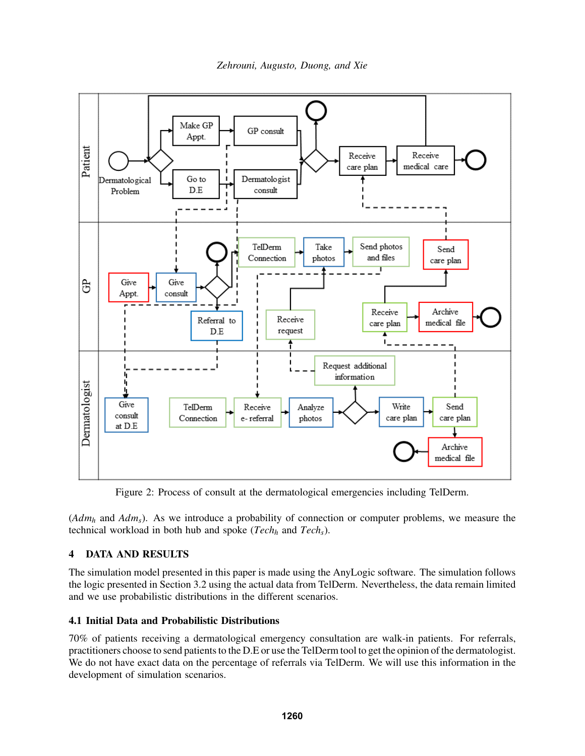<span id="page-5-0"></span>

Figure 2: Process of consult at the dermatological emergencies including TelDerm.

(*Adm<sup>h</sup>* and *Adms*). As we introduce a probability of connection or computer problems, we measure the technical workload in both hub and spoke (*Tech<sup>h</sup>* and *Techs*).

# 4 DATA AND RESULTS

The simulation model presented in this paper is made using the AnyLogic software. The simulation follows the logic presented in Section [3.2](#page-4-0) using the actual data from TelDerm. Nevertheless, the data remain limited and we use probabilistic distributions in the different scenarios.

## 4.1 Initial Data and Probabilistic Distributions

70% of patients receiving a dermatological emergency consultation are walk-in patients. For referrals, practitioners choose to send patients to the D.E or use the TelDerm tool to get the opinion of the dermatologist. We do not have exact data on the percentage of referrals via TelDerm. We will use this information in the development of simulation scenarios.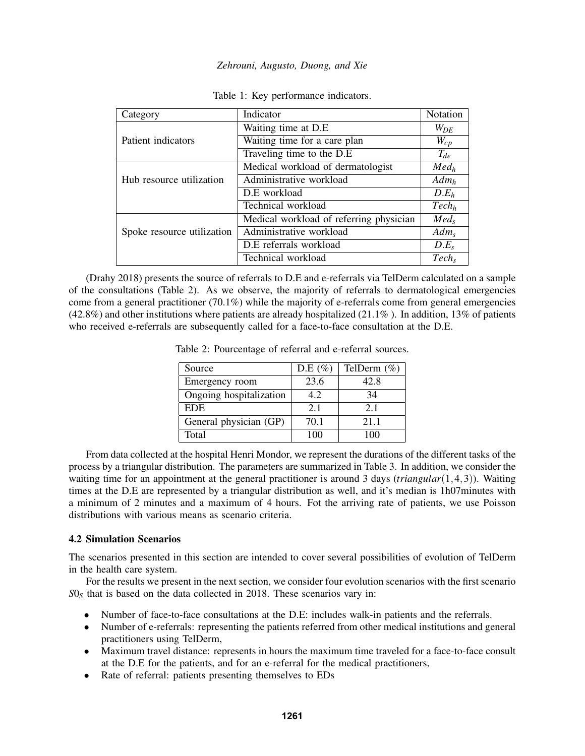<span id="page-6-0"></span>

| Category                   | Indicator                               | Notation          |
|----------------------------|-----------------------------------------|-------------------|
|                            | Waiting time at D.E                     | $W_{DE}$          |
| Patient indicators         | Waiting time for a care plan            | $W_{cp}$          |
|                            | Traveling time to the D.E.              | $T_{de}$          |
|                            | Medical workload of dermatologist       | Med <sub>h</sub>  |
| Hub resource utilization   | Administrative workload                 | $Adm_h$           |
|                            | D.E workload                            | D.E <sub>h</sub>  |
|                            | Technical workload                      | Tech <sub>h</sub> |
|                            | Medical workload of referring physician | Med <sub>s</sub>  |
| Spoke resource utilization | Administrative workload                 | Adm <sub>s</sub>  |
|                            | D.E referrals workload                  | $D.E_s$           |
|                            | Technical workload                      | $Tech_s$          |

|  |  | Table 1: Key performance indicators. |  |
|--|--|--------------------------------------|--|
|--|--|--------------------------------------|--|

<span id="page-6-1"></span>[\(Drahy 2018\)](#page-10-17) presents the source of referrals to D.E and e-referrals via TelDerm calculated on a sample of the consultations (Table [2\)](#page-6-1). As we observe, the majority of referrals to dermatological emergencies come from a general practitioner (70.1%) while the majority of e-referrals come from general emergencies (42.8%) and other institutions where patients are already hospitalized (21.1% ). In addition, 13% of patients who received e-referrals are subsequently called for a face-to-face consultation at the D.E.

| Source                  | D.E $(\% )$ | TelDerm $(\%)$ |
|-------------------------|-------------|----------------|
| Emergency room          | 23.6        | 42.8           |
| Ongoing hospitalization | 4.2         | 34             |
| <b>EDE</b>              | 2.1         | 2.1            |
| General physician (GP)  | 70.1        | 2.1 1          |
| Total                   | 100         | 100            |

Table 2: Pourcentage of referral and e-referral sources.

From data collected at the hospital Henri Mondor, we represent the durations of the different tasks of the process by a triangular distribution. The parameters are summarized in Table [3.](#page-7-0) In addition, we consider the waiting time for an appointment at the general practitioner is around 3 days (*triangular*(1,4,3)). Waiting times at the D.E are represented by a triangular distribution as well, and it's median is 1h07minutes with a minimum of 2 minutes and a maximum of 4 hours. Fot the arriving rate of patients, we use Poisson distributions with various means as scenario criteria.

## 4.2 Simulation Scenarios

The scenarios presented in this section are intended to cover several possibilities of evolution of TelDerm in the health care system.

For the results we present in the next section, we consider four evolution scenarios with the first scenario *S*0*<sup>S</sup>* that is based on the data collected in 2018. These scenarios vary in:

- Number of face-to-face consultations at the D.E: includes walk-in patients and the referrals.
- Number of e-referrals: representing the patients referred from other medical institutions and general practitioners using TelDerm,
- Maximum travel distance: represents in hours the maximum time traveled for a face-to-face consult at the D.E for the patients, and for an e-referral for the medical practitioners,
- Rate of referral: patients presenting themselves to EDs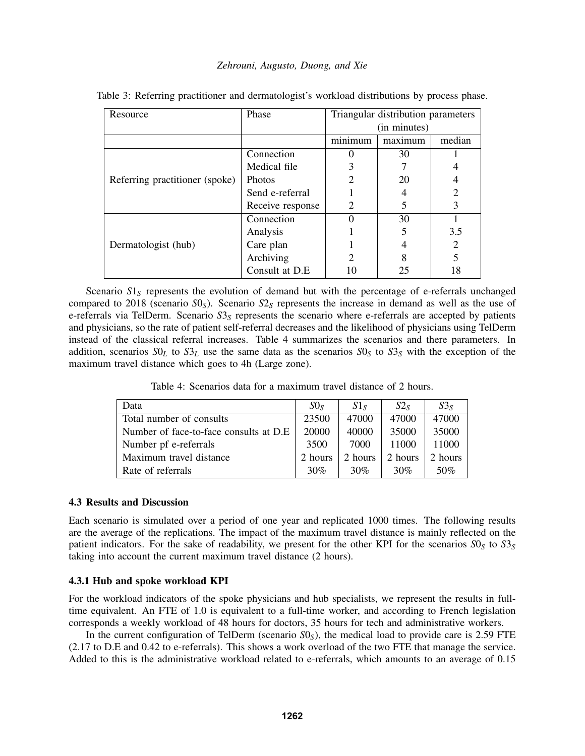| Resource                       | Phase            | Triangular distribution parameters |         |                |
|--------------------------------|------------------|------------------------------------|---------|----------------|
|                                |                  | (in minutes)                       |         |                |
|                                |                  | minimum                            | maximum | median         |
| Referring practitioner (spoke) | Connection       |                                    | 30      |                |
|                                | Medical file     |                                    |         |                |
|                                | <b>Photos</b>    |                                    | 20      |                |
|                                | Send e-referral  |                                    |         |                |
|                                | Receive response |                                    |         |                |
| Dermatologist (hub)            | Connection       |                                    | 30      |                |
|                                | Analysis         |                                    |         | 3.5            |
|                                | Care plan        |                                    |         | $\overline{2}$ |
|                                | Archiving        |                                    |         | 5              |
|                                | Consult at D.E   |                                    | 25      | 18             |

<span id="page-7-0"></span>Table 3: Referring practitioner and dermatologist's workload distributions by process phase.

Scenario  $S1<sub>S</sub>$  represents the evolution of demand but with the percentage of e-referrals unchanged compared to 2018 (scenario *S*0*S*). Scenario *S*2*<sup>S</sup>* represents the increase in demand as well as the use of e-referrals via TelDerm. Scenario  $S_5$  represents the scenario where e-referrals are accepted by patients and physicians, so the rate of patient self-referral decreases and the likelihood of physicians using TelDerm instead of the classical referral increases. Table [4](#page-7-1) summarizes the scenarios and there parameters. In addition, scenarios  $SO_L$  to  $S3_L$  use the same data as the scenarios  $SO_S$  to  $S3_S$  with the exception of the maximum travel distance which goes to 4h (Large zone).

Table 4: Scenarios data for a maximum travel distance of 2 hours.

<span id="page-7-1"></span>

| Data                                    | S0 <sub>s</sub> | S1s     | S2s     | $S3_S$  |
|-----------------------------------------|-----------------|---------|---------|---------|
| Total number of consults                | 23500           | 47000   | 47000   | 47000   |
| Number of face-to-face consults at D.E. | 20000           | 40000   | 35000   | 35000   |
| Number pf e-referrals                   | 3500            | 7000    | 11000   | 11000   |
| Maximum travel distance                 | 2 hours         | 2 hours | 2 hours | 2 hours |
| Rate of referrals                       | 30%             | 30%     | $30\%$  | 50%     |

## 4.3 Results and Discussion

Each scenario is simulated over a period of one year and replicated 1000 times. The following results are the average of the replications. The impact of the maximum travel distance is mainly reflected on the patient indicators. For the sake of readability, we present for the other KPI for the scenarios  $S_0$  to  $S_3$ taking into account the current maximum travel distance (2 hours).

## 4.3.1 Hub and spoke workload KPI

For the workload indicators of the spoke physicians and hub specialists, we represent the results in fulltime equivalent. An FTE of 1.0 is equivalent to a full-time worker, and according to French legislation corresponds a weekly workload of 48 hours for doctors, 35 hours for tech and administrative workers.

In the current configuration of TelDerm (scenario  $S_0S$ ), the medical load to provide care is 2.59 FTE (2.17 to D.E and 0.42 to e-referrals). This shows a work overload of the two FTE that manage the service. Added to this is the administrative workload related to e-referrals, which amounts to an average of 0.15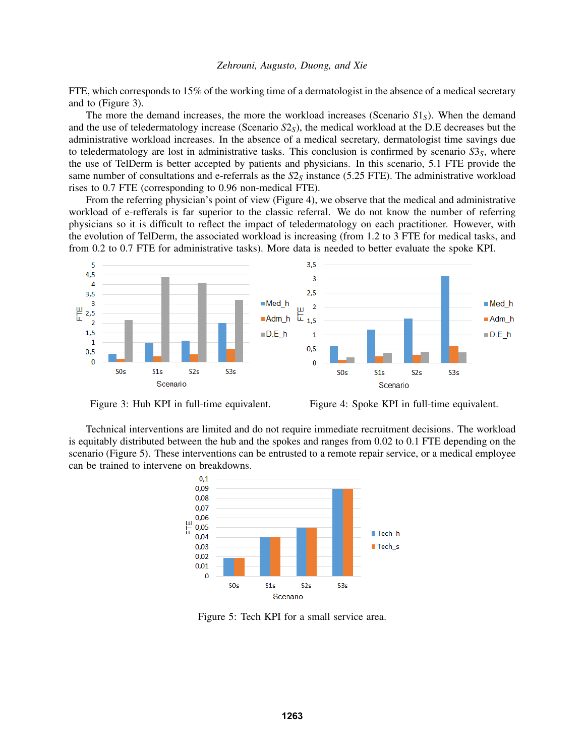FTE, which corresponds to 15% of the working time of a dermatologist in the absence of a medical secretary and to (Figure [3\)](#page-8-0).

The more the demand increases, the more the workload increases (Scenario *S*1*S*). When the demand and the use of teledermatology increase (Scenario  $S2<sub>S</sub>$ ), the medical workload at the D.E decreases but the administrative workload increases. In the absence of a medical secretary, dermatologist time savings due to teledermatology are lost in administrative tasks. This conclusion is confirmed by scenario  $S3<sub>S</sub>$ , where the use of TelDerm is better accepted by patients and physicians. In this scenario, 5.1 FTE provide the same number of consultations and e-referrals as the  $S2<sub>S</sub>$  instance (5.25 FTE). The administrative workload rises to 0.7 FTE (corresponding to 0.96 non-medical FTE).

From the referring physician's point of view (Figure [4\)](#page-8-0), we observe that the medical and administrative workload of e-refferals is far superior to the classic referral. We do not know the number of referring physicians so it is difficult to reflect the impact of teledermatology on each practitioner. However, with the evolution of TelDerm, the associated workload is increasing (from 1.2 to 3 FTE for medical tasks, and from 0.2 to 0.7 FTE for administrative tasks). More data is needed to better evaluate the spoke KPI.

<span id="page-8-0"></span>

Figure 3: Hub KPI in full-time equivalent. Figure 4: Spoke KPI in full-time equivalent.

<span id="page-8-1"></span>Technical interventions are limited and do not require immediate recruitment decisions. The workload is equitably distributed between the hub and the spokes and ranges from 0.02 to 0.1 FTE depending on the scenario (Figure [5\)](#page-8-1). These interventions can be entrusted to a remote repair service, or a medical employee can be trained to intervene on breakdowns.



Figure 5: Tech KPI for a small service area.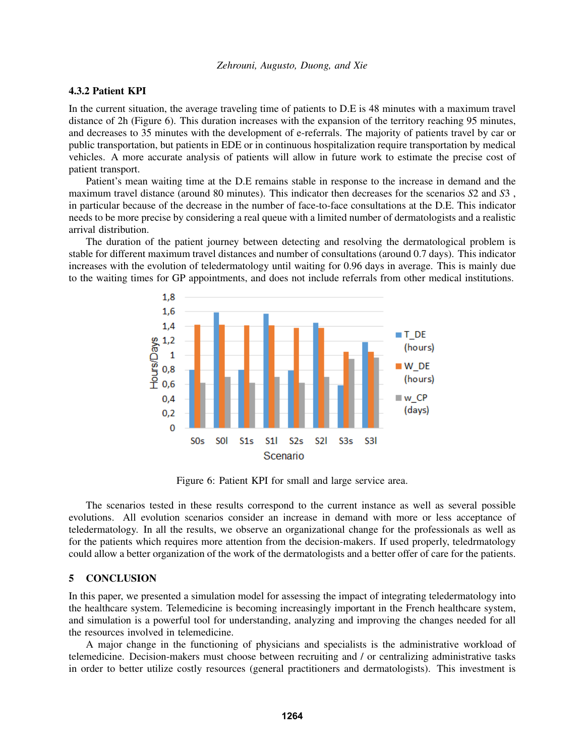### 4.3.2 Patient KPI

In the current situation, the average traveling time of patients to D.E is 48 minutes with a maximum travel distance of 2h (Figure [6\)](#page-9-0). This duration increases with the expansion of the territory reaching 95 minutes, and decreases to 35 minutes with the development of e-referrals. The majority of patients travel by car or public transportation, but patients in EDE or in continuous hospitalization require transportation by medical vehicles. A more accurate analysis of patients will allow in future work to estimate the precise cost of patient transport.

Patient's mean waiting time at the D.E remains stable in response to the increase in demand and the maximum travel distance (around 80 minutes). This indicator then decreases for the scenarios *S*2 and *S*3 , in particular because of the decrease in the number of face-to-face consultations at the D.E. This indicator needs to be more precise by considering a real queue with a limited number of dermatologists and a realistic arrival distribution.

<span id="page-9-0"></span>The duration of the patient journey between detecting and resolving the dermatological problem is stable for different maximum travel distances and number of consultations (around 0.7 days). This indicator increases with the evolution of teledermatology until waiting for 0.96 days in average. This is mainly due to the waiting times for GP appointments, and does not include referrals from other medical institutions.



Figure 6: Patient KPI for small and large service area.

The scenarios tested in these results correspond to the current instance as well as several possible evolutions. All evolution scenarios consider an increase in demand with more or less acceptance of teledermatology. In all the results, we observe an organizational change for the professionals as well as for the patients which requires more attention from the decision-makers. If used properly, teledrmatology could allow a better organization of the work of the dermatologists and a better offer of care for the patients.

### 5 CONCLUSION

In this paper, we presented a simulation model for assessing the impact of integrating teledermatology into the healthcare system. Telemedicine is becoming increasingly important in the French healthcare system, and simulation is a powerful tool for understanding, analyzing and improving the changes needed for all the resources involved in telemedicine.

A major change in the functioning of physicians and specialists is the administrative workload of telemedicine. Decision-makers must choose between recruiting and / or centralizing administrative tasks in order to better utilize costly resources (general practitioners and dermatologists). This investment is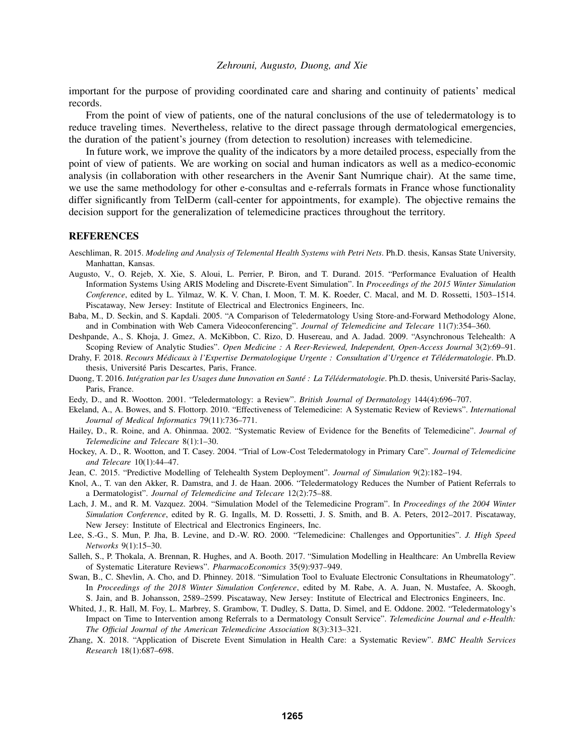important for the purpose of providing coordinated care and sharing and continuity of patients' medical records.

From the point of view of patients, one of the natural conclusions of the use of teledermatology is to reduce traveling times. Nevertheless, relative to the direct passage through dermatological emergencies, the duration of the patient's journey (from detection to resolution) increases with telemedicine.

In future work, we improve the quality of the indicators by a more detailed process, especially from the point of view of patients. We are working on social and human indicators as well as a medico-economic analysis (in collaboration with other researchers in the Avenir Sant Numrique chair). At the same time, we use the same methodology for other e-consultas and e-referrals formats in France whose functionality differ significantly from TelDerm (call-center for appointments, for example). The objective remains the decision support for the generalization of telemedicine practices throughout the territory.

#### REFERENCES

- <span id="page-10-14"></span>Aeschliman, R. 2015. *Modeling and Analysis of Telemental Health Systems with Petri Nets*. Ph.D. thesis, Kansas State University, Manhattan, Kansas.
- <span id="page-10-11"></span>Augusto, V., O. Rejeb, X. Xie, S. Aloui, L. Perrier, P. Biron, and T. Durand. 2015. "Performance Evaluation of Health Information Systems Using ARIS Modeling and Discrete-Event Simulation". In *Proceedings of the 2015 Winter Simulation Conference*, edited by L. Yilmaz, W. K. V. Chan, I. Moon, T. M. K. Roeder, C. Macal, and M. D. Rossetti, 1503–1514. Piscataway, New Jersey: Institute of Electrical and Electronics Engineers, Inc.
- <span id="page-10-4"></span>Baba, M., D. Seckin, and S. Kapdali. 2005. "A Comparison of Teledermatology Using Store-and-Forward Methodology Alone, and in Combination with Web Camera Videoconferencing". *Journal of Telemedicine and Telecare* 11(7):354–360.
- <span id="page-10-2"></span>Deshpande, A., S. Khoja, J. Gmez, A. McKibbon, C. Rizo, D. Husereau, and A. Jadad. 2009. "Asynchronous Telehealth: A Scoping Review of Analytic Studies". *Open Medicine : A Reer-Reviewed, Independent, Open-Access Journal* 3(2):69–91.
- <span id="page-10-17"></span>Drahy, F. 2018. *Recours Medicaux ´ a l'Expertise Dermatologique Urgente : Consultation d'Urgence et T ` el´ edermatologie ´* . Ph.D. thesis, Université Paris Descartes, Paris, France.
- <span id="page-10-16"></span>Duong, T. 2016. *Integration par les Usages dune Innovation en Sant ´ e : La T ´ el´ edermatologie ´* . Ph.D. thesis, Universite Paris-Saclay, ´ Paris, France.
- <span id="page-10-3"></span>Eedy, D., and R. Wootton. 2001. "Teledermatology: a Review". *British Journal of Dermatology* 144(4):696–707.
- <span id="page-10-8"></span>Ekeland, A., A. Bowes, and S. Flottorp. 2010. "Effectiveness of Telemedicine: A Systematic Review of Reviews". *International Journal of Medical Informatics* 79(11):736–771.
- <span id="page-10-1"></span>Hailey, D., R. Roine, and A. Ohinmaa. 2002. "Systematic Review of Evidence for the Benefits of Telemedicine". *Journal of Telemedicine and Telecare* 8(1):1–30.
- <span id="page-10-5"></span>Hockey, A. D., R. Wootton, and T. Casey. 2004. "Trial of Low-Cost Teledermatology in Primary Care". *Journal of Telemedicine and Telecare* 10(1):44–47.
- <span id="page-10-13"></span>Jean, C. 2015. "Predictive Modelling of Telehealth System Deployment". *Journal of Simulation* 9(2):182–194.
- <span id="page-10-6"></span>Knol, A., T. van den Akker, R. Damstra, and J. de Haan. 2006. "Teledermatology Reduces the Number of Patient Referrals to a Dermatologist". *Journal of Telemedicine and Telecare* 12(2):75–88.
- <span id="page-10-12"></span>Lach, J. M., and R. M. Vazquez. 2004. "Simulation Model of the Telemedicine Program". In *Proceedings of the 2004 Winter Simulation Conference*, edited by R. G. Ingalls, M. D. Rossetti, J. S. Smith, and B. A. Peters, 2012–2017. Piscataway, New Jersey: Institute of Electrical and Electronics Engineers, Inc.
- <span id="page-10-0"></span>Lee, S.-G., S. Mun, P. Jha, B. Levine, and D.-W. RO. 2000. "Telemedicine: Challenges and Opportunities". *J. High Speed Networks* 9(1):15–30.
- <span id="page-10-9"></span>Salleh, S., P. Thokala, A. Brennan, R. Hughes, and A. Booth. 2017. "Simulation Modelling in Healthcare: An Umbrella Review of Systematic Literature Reviews". *PharmacoEconomics* 35(9):937–949.
- <span id="page-10-15"></span>Swan, B., C. Shevlin, A. Cho, and D. Phinney. 2018. "Simulation Tool to Evaluate Electronic Consultations in Rheumatology". In *Proceedings of the 2018 Winter Simulation Conference*, edited by M. Rabe, A. A. Juan, N. Mustafee, A. Skoogh, S. Jain, and B. Johansson, 2589–2599. Piscataway, New Jersey: Institute of Electrical and Electronics Engineers, Inc.
- <span id="page-10-7"></span>Whited, J., R. Hall, M. Foy, L. Marbrey, S. Grambow, T. Dudley, S. Datta, D. Simel, and E. Oddone. 2002. "Teledermatology's Impact on Time to Intervention among Referrals to a Dermatology Consult Service". *Telemedicine Journal and e-Health: The Official Journal of the American Telemedicine Association* 8(3):313–321.
- <span id="page-10-10"></span>Zhang, X. 2018. "Application of Discrete Event Simulation in Health Care: a Systematic Review". *BMC Health Services Research* 18(1):687–698.